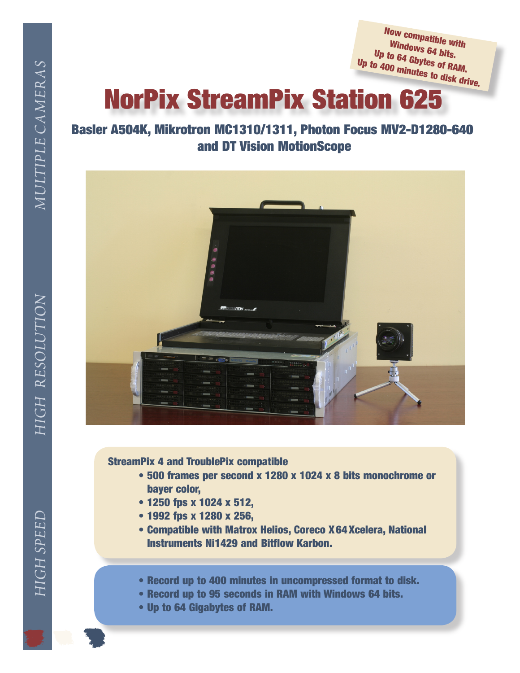MULTIPLE CAMERAS *N MULTIPLE CAMERAS*

HIGH RESOLUTION *HIGH SPEED HIGH RESOLUTIO*

**HIGH SPEED** 

Now compatible with<br>Windows a Windows 64 bits. Up to 64 Gbytes of RAM.<br><sup>0</sup> 400 minutes of RAM. Up to <sup>400</sup> minutes to disk drive.

## NorPix StreamPix Station 625

## Basler A504K, Mikrotron MC1310/1311, Photon Focus MV2‑D1280‑640 and DT Vision MotionScope



StreamPix 4 and TroublePix compatible

- 500 frames per second x 1280 x 1024 x 8 bits monochrome or bayer color,
- 1250 fps x 1024 x 512,
- 1992 fps x 1280 x 256,
- Compatible with Matrox Helios, Coreco X64Xcelera, National Instruments Ni1429 and Bitflow Karbon.
- Record up to 400 minutes in uncompressed format to disk.
- Record up to 95 seconds in RAM with Windows 64 bits.
- Up to 64 Gigabytes of RAM.